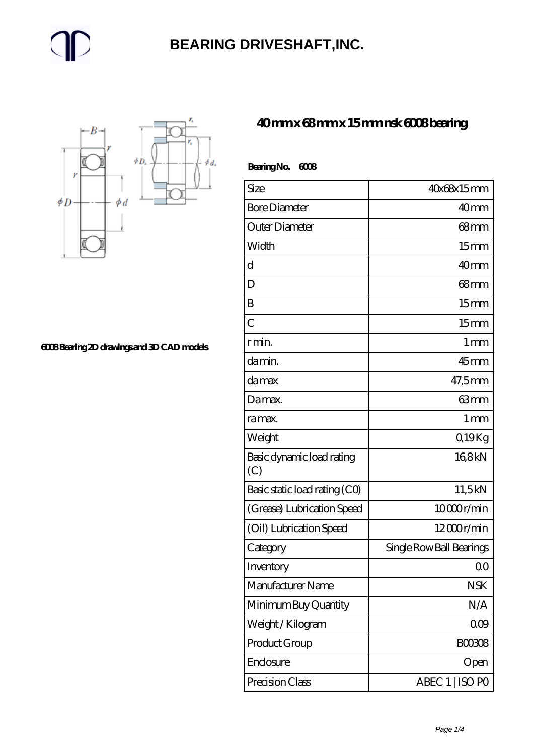#### **[BEARING DRIVESHAFT,INC.](https://m.trendco-vick.com)**



**[6008 Bearing 2D drawings and 3D CAD models](https://m.trendco-vick.com/pic-412337.html)**

#### **[40 mm x 68 mm x 15 mm nsk 6008 bearing](https://m.trendco-vick.com/nsk-6008-bearing/)**

| <b>BearingNo.</b><br>6008        |                          |
|----------------------------------|--------------------------|
| Size                             | 40x68x15mm               |
| <b>Bore Diameter</b>             | 40mm                     |
| Outer Diameter                   | $68$ mm                  |
| Width                            | 15 <sub>mm</sub>         |
| d                                | 40 <sub>mm</sub>         |
| D                                | 68 <sub>mm</sub>         |
| B                                | 15 <sub>mm</sub>         |
| $\overline{C}$                   | 15 <sub>mm</sub>         |
| r min.                           | $1 \,\mathrm{mm}$        |
| da min.                          | $45$ mm                  |
| damax                            | 47,5mm                   |
| Damax.                           | 63mm                     |
| ra max.                          | 1 <sub>mm</sub>          |
| Weight                           | Q19Kg                    |
| Basic dynamic load rating<br>(C) | 168kN                    |
| Basic static load rating (CO)    | 11,5kN                   |
| (Grease) Lubrication Speed       | 10000r/min               |
| (Oil) Lubrication Speed          | $12000$ r/min            |
| Category                         | Single Row Ball Bearings |
| Inventory                        | QΟ                       |
| Manufacturer Name                | <b>NSK</b>               |
| Minimum Buy Quantity             | N/A                      |
| Weight / Kilogram                | 000                      |
| Product Group                    | BOO3O8                   |
| Enclosure                        | Open                     |
| Precision Class                  | ABEC 1   ISO PO          |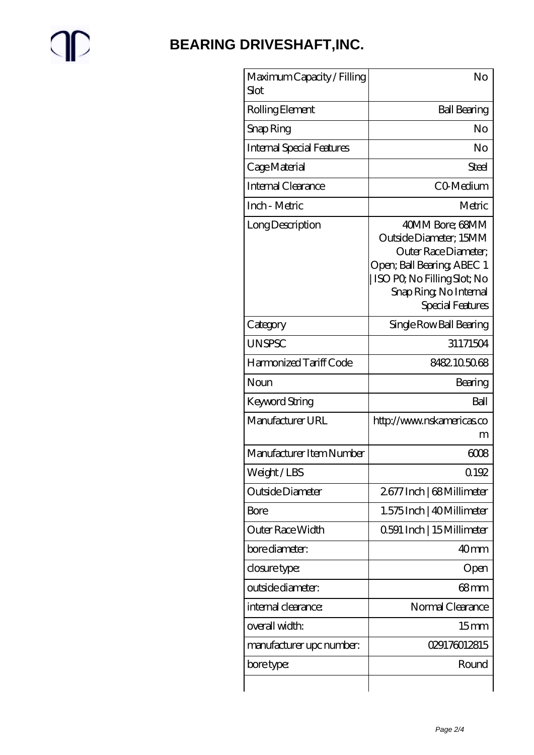# $\mathbb{P}$

### **[BEARING DRIVESHAFT,INC.](https://m.trendco-vick.com)**

| Maximum Capacity / Filling<br>Slot | No                                                                                                                                                                           |
|------------------------------------|------------------------------------------------------------------------------------------------------------------------------------------------------------------------------|
| Rolling Element                    | <b>Ball Bearing</b>                                                                                                                                                          |
| Snap Ring                          | No                                                                                                                                                                           |
| <b>Internal Special Features</b>   | No                                                                                                                                                                           |
| Cage Material                      | Steel                                                                                                                                                                        |
| Internal Clearance                 | CO-Medium                                                                                                                                                                    |
| Inch - Metric                      | Metric                                                                                                                                                                       |
| Long Description                   | 40MM Bore; 68MM<br>Outside Diameter; 15MM<br>Outer Race Diameter;<br>Open; Ball Bearing; ABEC 1<br>ISO PO, No Filling Slot; No<br>Snap Ring, No Internal<br>Special Features |
| Category                           | Single Row Ball Bearing                                                                                                                                                      |
| <b>UNSPSC</b>                      | 31171504                                                                                                                                                                     |
| Harmonized Tariff Code             | 8482105068                                                                                                                                                                   |
| Noun                               | Bearing                                                                                                                                                                      |
| Keyword String                     | Ball                                                                                                                                                                         |
| Manufacturer URL                   | http://www.nskamericas.co<br>m                                                                                                                                               |
| Manufacturer Item Number           | 6008                                                                                                                                                                         |
| Weight/LBS                         | 0.192                                                                                                                                                                        |
| Outside Diameter                   | 2677 Inch   68 Millimeter                                                                                                                                                    |
| Bore                               | 1.575 Inch   40 Millimeter                                                                                                                                                   |
| Outer Race Width                   | 0.591 Inch   15 Millimeter                                                                                                                                                   |
| bore diameter:                     | 40 <sub>mm</sub>                                                                                                                                                             |
| closure type:                      | Open                                                                                                                                                                         |
| outside diameter:                  | 68mm                                                                                                                                                                         |
| internal clearance:                | Normal Clearance                                                                                                                                                             |
| overall width:                     | 15 <sub>mm</sub>                                                                                                                                                             |
| manufacturer upc number:           | 029176012815                                                                                                                                                                 |
|                                    |                                                                                                                                                                              |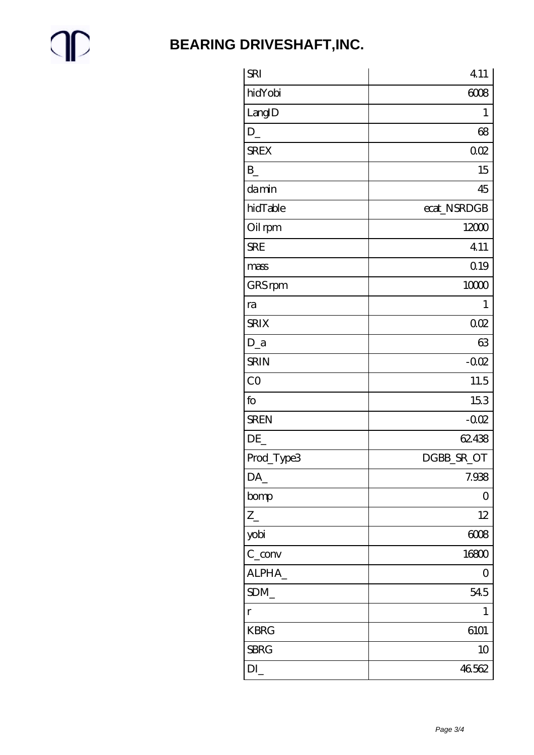$\mathbb{P}$ 

### **BEARING DRIVESHAFT, INC.**

| <b>SRI</b>        | 4.11          |
|-------------------|---------------|
| hidYobi           | 6008          |
| LangID            | 1             |
| $D_{-}$           | 68            |
| <b>SREX</b>       | 002           |
| $\mathbf{B}$      | 15            |
| damin             | 45            |
| hidTable          | ecat_NSRDGB   |
| Oil rpm           | 12000         |
| <b>SRE</b>        | 4.11          |
| mass              | 0.19          |
| GRS rpm           | 10000         |
| ra                | $\mathbf{1}$  |
| <b>SRIX</b>       | 002           |
| $D_a$             | 63            |
| <b>SRIN</b>       | $-002$        |
| CO                | 11.5          |
| fo                | 153           |
| <b>SREN</b>       | $-002$        |
| DE                | 62438         |
| Prod_Type3        | DGBB_SR_OT    |
| DA_               | 7.938         |
| bomp              | $\mathcal{O}$ |
| $Z_{-}$           | 12            |
| yobi              | 6008          |
| $C_{\text{conv}}$ | 16800         |
| ALPHA_            | 0             |
| SDM               | 545           |
| $\mathbf r$       | $\mathbf 1$   |
| <b>KBRG</b>       | 6101          |
| <b>SBRG</b>       | 10            |
| DI                | 46562         |